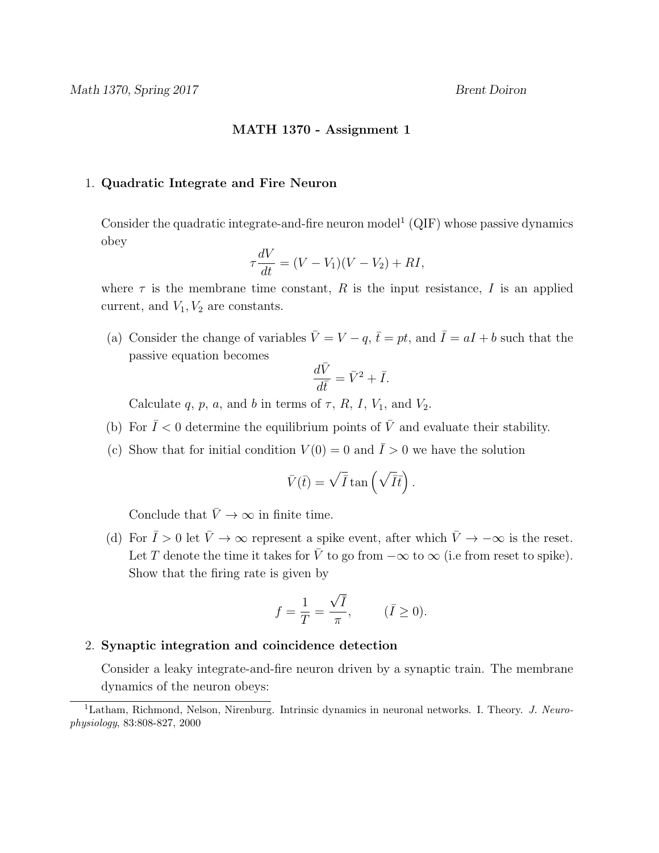## MATH 1370 - Assignment 1

## 1. Quadratic Integrate and Fire Neuron

Consider the quadratic integrate-and-fire neuron model<sup>1</sup> (QIF) whose passive dynamics obey

$$
\tau \frac{dV}{dt} = (V - V_1)(V - V_2) + RI,
$$

where  $\tau$  is the membrane time constant, R is the input resistance, I is an applied current, and  $V_1, V_2$  are constants.

(a) Consider the change of variables  $\overline{V} = V - q$ ,  $\overline{t} = pt$ , and  $\overline{I} = aI + b$  such that the passive equation becomes

$$
\frac{d\bar{V}}{d\bar{t}} = \bar{V}^2 + \bar{I}.
$$

Calculate q, p, a, and b in terms of  $\tau$ , R, I, V<sub>1</sub>, and V<sub>2</sub>.

- (b) For  $\overline{I}$  < 0 determine the equilibrium points of  $\overline{V}$  and evaluate their stability.
- (c) Show that for initial condition  $V(0) = 0$  and  $\overline{I} > 0$  we have the solution

$$
\bar{V}(\bar{t}) = \sqrt{\bar{I}} \tan\left(\sqrt{\bar{I}}\bar{t}\right).
$$

Conclude that  $\bar{V} \rightarrow \infty$  in finite time.

(d) For  $\overline{I} > 0$  let  $\overline{V} \to \infty$  represent a spike event, after which  $\overline{V} \to -\infty$  is the reset. Let T denote the time it takes for  $\overline{V}$  to go from  $-\infty$  to  $\infty$  (i.e from reset to spike). Show that the firing rate is given by

$$
f = \frac{1}{T} = \frac{\sqrt{\bar{I}}}{\pi}, \qquad (\bar{I} \ge 0).
$$

## 2. Synaptic integration and coincidence detection

Consider a leaky integrate-and-fire neuron driven by a synaptic train. The membrane dynamics of the neuron obeys:

<sup>&</sup>lt;sup>1</sup>Latham, Richmond, Nelson, Nirenburg. Intrinsic dynamics in neuronal networks. I. Theory. J. Neurophysiology, 83:808-827, 2000